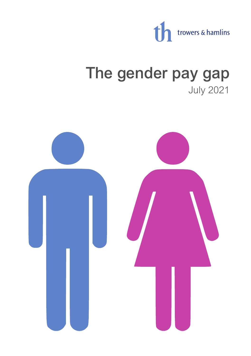

# The gender pay gap July 2021

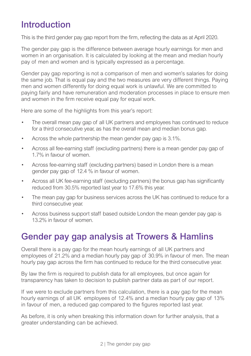## Introduction

This is the third gender pay gap report from the firm, reflecting the data as at April 2020.

The gender pay gap is the difference between average hourly earnings for men and women in an organisation. It is calculated by looking at the mean and median hourly pay of men and women and is typically expressed as a percentage.

Gender pay gap reporting is not a comparison of men and women's salaries for doing the same job. That is equal pay and the two measures are very different things. Paying men and women differently for doing equal work is unlawful. We are committed to paying fairly and have remuneration and moderation processes in place to ensure men and women in the firm receive equal pay for equal work.

Here are some of the highlights from this year's report:

- The overall mean pay gap of all UK partners and employees has continued to reduce for a third consecutive year, as has the overall mean and median bonus gap.
- Across the whole partnership the mean gender pay gap is 3.1%.
- Across all fee-earning staff (excluding partners) there is a mean gender pay gap of 1.7% in favour of women.
- Across fee-earning staff (excluding partners) based in London there is a mean gender pay gap of 12.4 % in favour of women.
- Across all UK fee-earning staff (excluding partners) the bonus gap has significantly reduced from 30.5% reported last year to 17.6% this year.
- The mean pay gap for business services across the UK has continued to reduce for a third consecutive year.
- Across business support staff based outside London the mean gender pay gap is 13.2% in favour of women.

## Gender pay gap analysis at Trowers & Hamlins

Overall there is a pay gap for the mean hourly earnings of all UK partners and employees of 21.2% and a median hourly pay gap of 30.9% in favour of men. The mean hourly pay gap across the firm has continued to reduce for the third consecutive year.

By law the firm is required to publish data for all employees, but once again for transparency has taken to decision to publish partner data as part of our report.

If we were to exclude partners from this calculation, there is a pay gap for the mean hourly earnings of all UK employees of 12.4% and a median hourly pay gap of 13% in favour of men, a reduced gap compared to the figures reported last year.

As before, it is only when breaking this information down for further analysis, that a greater understanding can be achieved.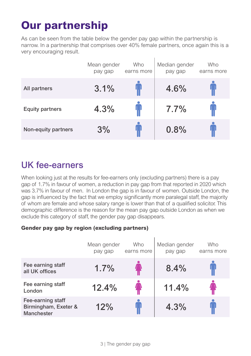## **Our partnership**

As can be seen from the table below the gender pay gap within the partnership is narrow. In a partnership that comprises over 40% female partners, once again this is a very encouraging result.

|                        | Mean gender<br>pay gap | <b>Who</b><br>earns more | Median gender<br>pay gap | <b>Who</b><br>earns more |
|------------------------|------------------------|--------------------------|--------------------------|--------------------------|
| All partners           | 3.1%                   |                          | 4.6%                     |                          |
| <b>Equity partners</b> | 4.3%                   |                          | 7.7%                     |                          |
| Non-equity partners    | 3%                     |                          | 0.8%                     |                          |

### UK fee-earners

When looking just at the results for fee-earners only (excluding partners) there is a pay gap of 1.7% in favour of women, a reduction in pay gap from that reported in 2020 which was 3.7% in favour of men. In London the gap is in favour of women. Outside London, the gap is influenced by the fact that we employ significantly more paralegal staff, the majority of whom are female and whose salary range is lower than that of a qualified solicitor. This demographic difference is the reason for the mean pay gap outside London as when we exclude this category of staff, the gender pay gap disappears.

#### **Gender pay gap by region (excluding partners)**

|                                                         | Mean gender<br>pay gap | Who<br>earns more | Median gender<br>pay gap | Who<br>earns more |
|---------------------------------------------------------|------------------------|-------------------|--------------------------|-------------------|
| Fee earning staff<br>all UK offices                     | 1.7%                   |                   | 8.4%                     |                   |
| Fee earning staff<br>London                             | 12.4%                  |                   | 11.4%                    |                   |
| Fee-earning staff<br>Birmingham, Exeter &<br>Manchester | 12%                    |                   | 4.3%                     |                   |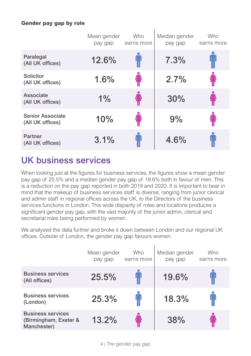#### **Gender pay gap by role**

|                                             | Mean gender<br>pay gap | <b>Who</b><br>earns more | Median gender<br>pay gap | Who<br>earns more |
|---------------------------------------------|------------------------|--------------------------|--------------------------|-------------------|
| Paralegal<br>(All UK offices)               | 12.6%                  |                          | 7.3%                     |                   |
| Solicitor<br>(All UK offices)               | 1.6%                   |                          | 2.7%                     |                   |
| Associate<br>(All UK offices)               | 1%                     |                          | 30%                      |                   |
| <b>Senior Associate</b><br>(All UK offices) | 10%                    |                          | 9%                       |                   |
| Partner<br>(All UK offices)                 | 3.1%                   |                          | 4.6%                     |                   |

## UK business services

When looking just at the figures for business services, the figures show a mean gender pay gap of 25.5% and a median gender pay gap of 19.6% both in favour of men. This is a reduction on the pay gap reported in both 2019 and 2020. It is important to bear in mind that the makeup of business services staff is diverse, ranging from junior clerical and admin staff in regional offices across the UK, to the Directors of the business services functions in London. This wide disparity of roles and locations produces a significant gender pay gap, with the vast majority of the junior admin, clerical and secretarial roles being performed by women.

We analysed the data further and broke it down between London and our regional UK offices. Outside of London, the gender pay gap favours women.

|                                                                  | Mean gender<br>pay gap | Who<br>earns more | Median gender<br>pay gap | Who<br>earns more |
|------------------------------------------------------------------|------------------------|-------------------|--------------------------|-------------------|
| <b>Business services</b><br>(All offices)                        | 25.5%                  |                   | 19.6%                    |                   |
| <b>Business services</b><br>(London)                             | 25.3%                  |                   | 18.3%                    |                   |
| <b>Business services</b><br>(Birmingham, Exeter &<br>Manchester) | 13.2%                  |                   | 38%                      |                   |

4 | The gender pay gap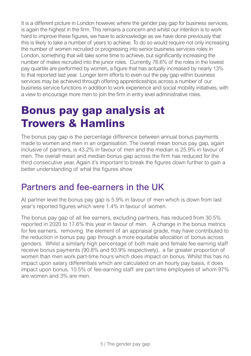It is a different picture in London however, where the gender pay gap for business services, is again the highest in the firm. This remains a concern and whilst our intention is to work hard to improve these figures, we have to acknowledge as we have done previously that this is likely to take a number of years to achieve. To do so would require not only increasing the number of women recruited or progressing into senior business services roles in London, something that will take some time to achieve, but significantly increasing the number of males recruited into the junior roles. Currently, 76.6% of the roles in the lowest pay quartile are performed by women, a figure that has actually increased by nearly 13% to that reported last year. Longer term efforts to even out the pay gap within business services may be achieved through offering apprenticeships across a number of our business service functions in addition to work experience and social mobility initiatives, with a view to encourage more men to join the firm in entry level administrative roles.

## **Bonus pay gap analysis at Trowers & Hamlins**

The bonus pay gap is the percentage difference between annual bonus payments made to women and men in an organisation. The overall mean bonus pay gap, again inclusive of partners, is 43.2% in favour of men and the median is 25.9% in favour of men. The overall mean and median bonus gap across the firm has reduced for the third consecutive year. Again it's important to break the figures down further to gain a better understanding of what the figures show

### Partners and fee-earners in the UK

At partner level the bonus pay gap is 5.9% in favour of men which is down from last year's reported figures which were 1.4% in favour of women.

The bonus pay gap of all fee earners, excluding partners, has reduced from 30.5% reported in 2020 to 17.6% this year in favour of men. A change in the bonus metrics for fee earners, removing the element of an appraisal grade, may have contributed to the reduction in bonus pay gap through a more equitable allocation of bonus across genders. Whilst a similarly high percentage of both male and female fee earning staff receive bonus payments (90.8% and 93.9% respectively), a far greater proportion of women than men work part-time hours which does impact on bonus. Whilst this has no impact upon salary differentials which are calculated on an hourly pay basis, it does impact upon bonus. 10.5% of fee-earning staff are part time employees of whom 97% are women and 3% are men.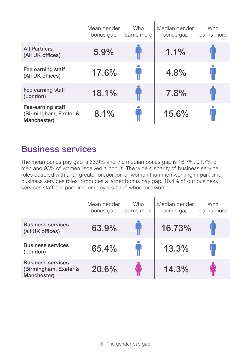|                                                           | Mean gender<br>bonus gap | <b>Who</b><br>earns more | Median gender<br>bonus gap | Who<br>earns more |
|-----------------------------------------------------------|--------------------------|--------------------------|----------------------------|-------------------|
| <b>All Partners</b><br>(All UK offices)                   | 5.9%                     |                          | 1.1%                       |                   |
| Fee earning staff<br>(All UK offices)                     | 17.6%                    | $\blacksquare$           | 4.8%                       | IJ                |
| Fee earning staff<br>(London)                             | 18.1%                    |                          | 7.8%                       |                   |
| Fee-earning staff<br>(Birmingham, Exeter &<br>Manchester) | 8.1%                     | $\mathbf{u}$             | 15.6%                      |                   |

 $\mathbf{r}$ 

## Business services

The mean bonus pay gap is 63.9% and the median bonus gap is 16.7%. 91.7% of men and 93% of women received a bonus. The wide disparity of business service roles coupled with a far greater proportion of women than men working in part time business services roles, produces a larger bonus pay gap. 10.4% of our business services staff are part time employees all of whom are women.

|                                                                  | Mean gender<br>bonus gap | Who<br>earns more | Median gender<br>bonus gap | Who<br>earns more |
|------------------------------------------------------------------|--------------------------|-------------------|----------------------------|-------------------|
| <b>Business services</b><br>(all UK offices)                     | 63.9%                    |                   | 16.73%                     |                   |
| <b>Business services</b><br>(London)                             | 65.4%                    |                   | 13.3%                      |                   |
| <b>Business services</b><br>(Birmingham, Exeter &<br>Manchester) | 20.6%                    |                   | 14.3%                      |                   |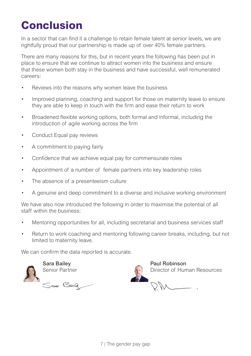## **Conclusion**

In a sector that can find it a challenge to retain female talent at senior levels, we are rightfully proud that our partnership is made up of over 40% female partners.

There are many reasons for this, but in recent years the following has been put in place to ensure that we continue to attract women into the business and ensure that these women both stay in the business and have successful, well remunerated careers:

- Reviews into the reasons why women leave the business
- Improved planning, coaching and support for those on maternity leave to ensure they are able to keep in touch with the firm and ease their return to work
- Broadened flexible working options, both formal and informal, including the introduction of agile working across the firm
- Conduct Equal pay reviews
- A commitment to paying fairly
- Confidence that we achieve equal pay for commensurate roles
- Appointment of a number of female partners into key leadership roles
- The absence of a presenteeism culture
- A genuine and deep commitment to a diverse and inclusive working environment

We have also now introduced the following in order to maximise the potential of all staff within the business:

- Mentoring opportunities for all, including secretarial and business services staff
- Return to work coaching and mentoring following career breaks, including, but not limited to maternity leave.

We can confirm the data reported is accurate.